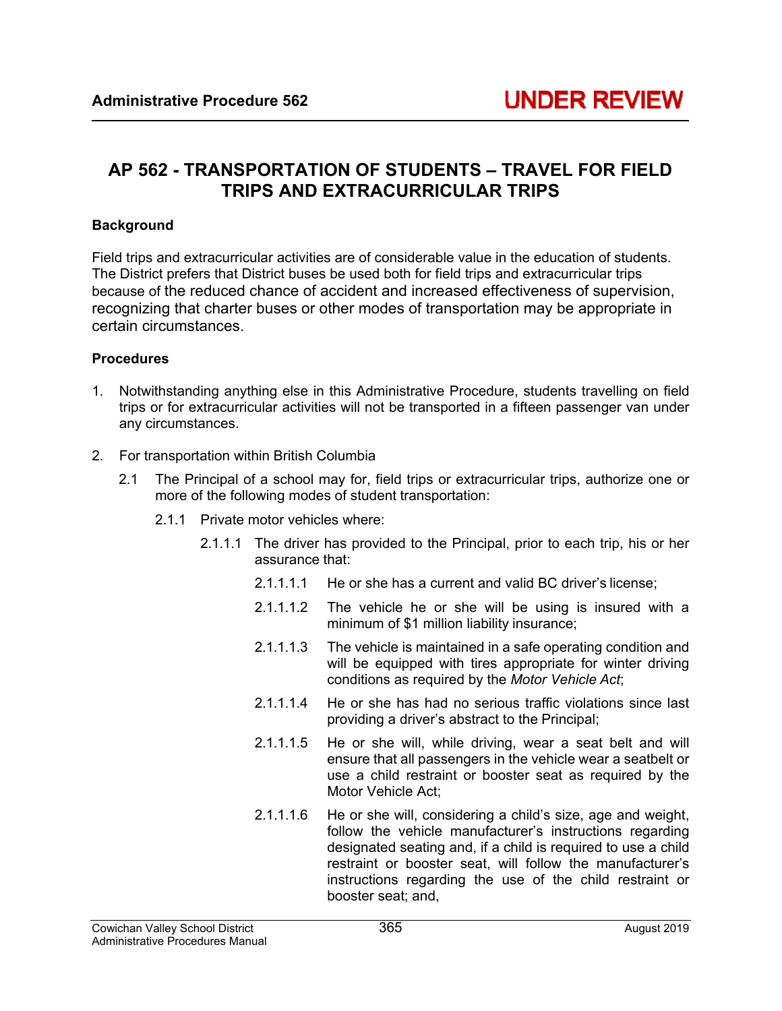## **AP 562 - TRANSPORTATION OF STUDENTS – TRAVEL FOR FIELD TRIPS AND EXTRACURRICULAR TRIPS**

## **Background**

Field trips and extracurricular activities are of considerable value in the education of students. The District prefers that District buses be used both for field trips and extracurricular trips because of the reduced chance of accident and increased effectiveness of supervision, recognizing that charter buses or other modes of transportation may be appropriate in certain circumstances.

## **Procedures**

- 1. Notwithstanding anything else in this Administrative Procedure, students travelling on field trips or for extracurricular activities will not be transported in a fifteen passenger van under any circumstances.
- 2. For transportation within British Columbia
	- 2.1 The Principal of a school may for, field trips or extracurricular trips, authorize one or more of the following modes of student transportation:
		- 2.1.1 Private motor vehicles where:
			- 2.1.1.1 The driver has provided to the Principal, prior to each trip, his or her assurance that:
				- 2.1.1.1.1 He or she has a current and valid BC driver's license:
				- 2.1.1.1.2 The vehicle he or she will be using is insured with a minimum of \$1 million liability insurance;
				- 2.1.1.1.3 The vehicle is maintained in a safe operating condition and will be equipped with tires appropriate for winter driving conditions as required by the *Motor Vehicle Act*;
				- 2.1.1.1.4 He or she has had no serious traffic violations since last providing a driver's abstract to the Principal;
				- 2.1.1.1.5 He or she will, while driving, wear a seat belt and will ensure that all passengers in the vehicle wear a seatbelt or use a child restraint or booster seat as required by the Motor Vehicle Act;
				- 2.1.1.1.6 He or she will, considering a child's size, age and weight, follow the vehicle manufacturer's instructions regarding designated seating and, if a child is required to use a child restraint or booster seat, will follow the manufacturer's instructions regarding the use of the child restraint or booster seat; and,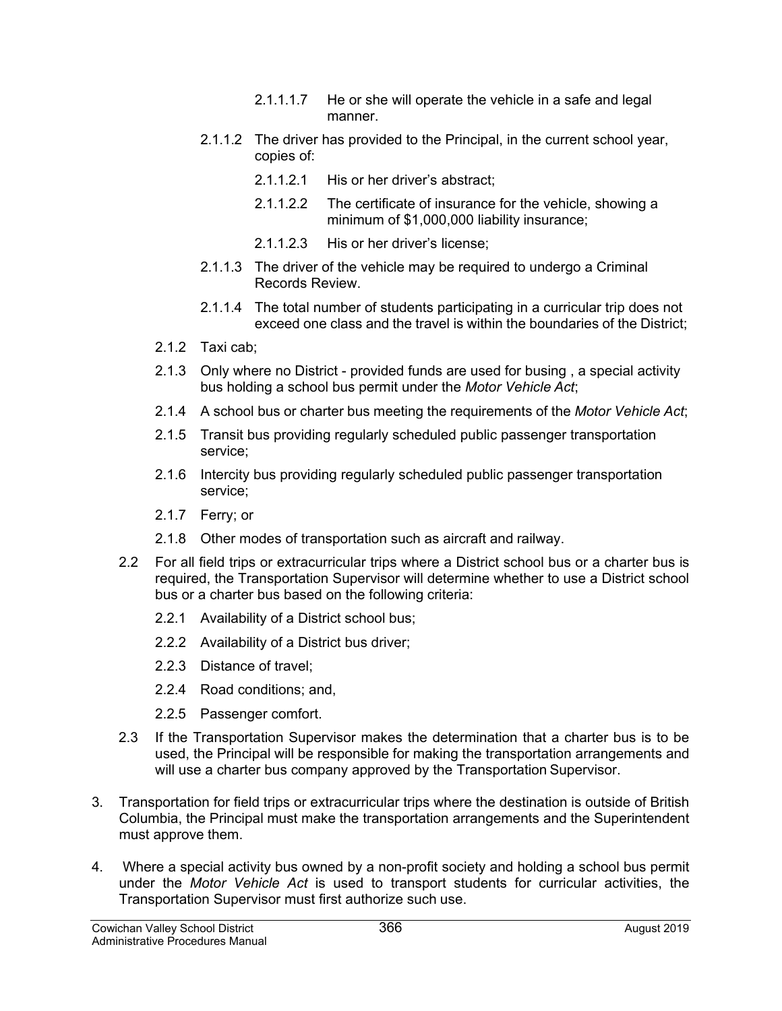- 2.1.1.1.7 He or she will operate the vehicle in a safe and legal manner.
- 2.1.1.2 The driver has provided to the Principal, in the current school year, copies of:
	- 2.1.1.2.1 His or her driver's abstract;
	- 2.1.1.2.2 The certificate of insurance for the vehicle, showing a minimum of \$1,000,000 liability insurance;
	- 2.1.1.2.3 His or her driver's license;
- 2.1.1.3 The driver of the vehicle may be required to undergo a Criminal Records Review.
- 2.1.1.4 The total number of students participating in a curricular trip does not exceed one class and the travel is within the boundaries of the District;
- 2.1.2 Taxi cab;
- 2.1.3 Only where no District provided funds are used for busing , a special activity bus holding a school bus permit under the *Motor Vehicle Act*;
- 2.1.4 A school bus or charter bus meeting the requirements of the *Motor Vehicle Act*;
- 2.1.5 Transit bus providing regularly scheduled public passenger transportation service;
- 2.1.6 Intercity bus providing regularly scheduled public passenger transportation service;
- 2.1.7 Ferry; or
- 2.1.8 Other modes of transportation such as aircraft and railway.
- 2.2 For all field trips or extracurricular trips where a District school bus or a charter bus is required, the Transportation Supervisor will determine whether to use a District school bus or a charter bus based on the following criteria:
	- 2.2.1 Availability of a District school bus;
	- 2.2.2 Availability of a District bus driver;
	- 2.2.3 Distance of travel;
	- 2.2.4 Road conditions; and,
	- 2.2.5 Passenger comfort.
- 2.3 If the Transportation Supervisor makes the determination that a charter bus is to be used, the Principal will be responsible for making the transportation arrangements and will use a charter bus company approved by the Transportation Supervisor.
- 3. Transportation for field trips or extracurricular trips where the destination is outside of British Columbia, the Principal must make the transportation arrangements and the Superintendent must approve them.
- 4. Where a special activity bus owned by a non-profit society and holding a school bus permit under the *Motor Vehicle Act* is used to transport students for curricular activities, the Transportation Supervisor must first authorize such use.